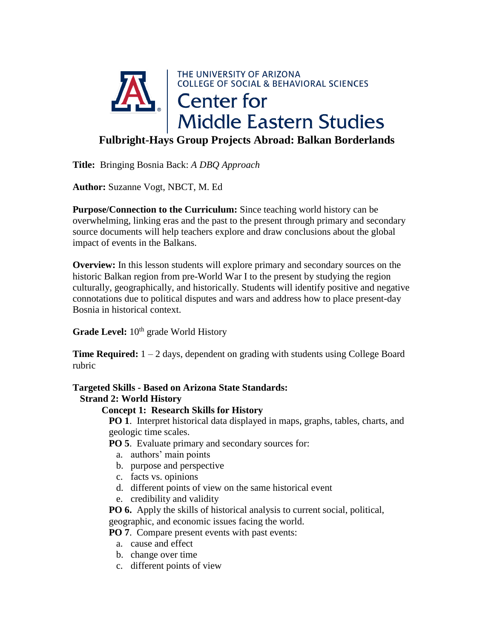

**Title:** Bringing Bosnia Back: *A DBQ Approach*

**Author:** Suzanne Vogt, NBCT, M. Ed

**Purpose/Connection to the Curriculum:** Since teaching world history can be overwhelming, linking eras and the past to the present through primary and secondary source documents will help teachers explore and draw conclusions about the global impact of events in the Balkans.

**Overview:** In this lesson students will explore primary and secondary sources on the historic Balkan region from pre-World War I to the present by studying the region culturally, geographically, and historically. Students will identify positive and negative connotations due to political disputes and wars and address how to place present-day Bosnia in historical context.

**Grade Level:**  $10^{th}$  grade World History

**Time Required:** 1 – 2 days, dependent on grading with students using College Board rubric

# **Targeted Skills - Based on Arizona State Standards:**

## **Strand 2: World History**

### **Concept 1: Research Skills for History**

 **PO 1**. Interpret historical data displayed in maps, graphs, tables, charts, and geologic time scales.

**PO 5**. Evaluate primary and secondary sources for:

- a. authors' main points
- b. purpose and perspective
- c. facts vs. opinions
- d. different points of view on the same historical event
- e. credibility and validity

 **PO 6.** Apply the skills of historical analysis to current social, political, geographic, and economic issues facing the world.

**PO 7.** Compare present events with past events:

- a. cause and effect
- b. change over time
- c. different points of view